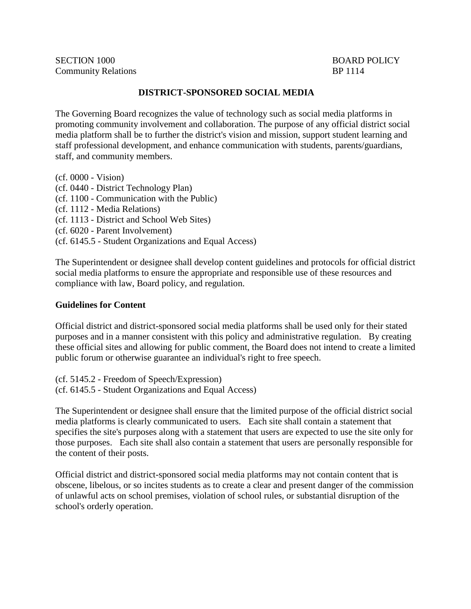SECTION 1000 BOARD POLICY Community Relations BP 1114

## **DISTRICT-SPONSORED SOCIAL MEDIA**

The Governing Board recognizes the value of technology such as social media platforms in promoting community involvement and collaboration. The purpose of any official district social media platform shall be to further the district's vision and mission, support student learning and staff professional development, and enhance communication with students, parents/guardians, staff, and community members.

(cf. 0000 - Vision) (cf. 0440 - District Technology Plan) (cf. 1100 - Communication with the Public) (cf. 1112 - Media Relations) (cf. 1113 - District and School Web Sites) (cf. 6020 - Parent Involvement) (cf. 6145.5 - Student Organizations and Equal Access)

The Superintendent or designee shall develop content guidelines and protocols for official district social media platforms to ensure the appropriate and responsible use of these resources and compliance with law, Board policy, and regulation.

## **Guidelines for Content**

Official district and district-sponsored social media platforms shall be used only for their stated purposes and in a manner consistent with this policy and administrative regulation. By creating these official sites and allowing for public comment, the Board does not intend to create a limited public forum or otherwise guarantee an individual's right to free speech.

(cf. 5145.2 - Freedom of Speech/Expression) (cf. 6145.5 - Student Organizations and Equal Access)

The Superintendent or designee shall ensure that the limited purpose of the official district social media platforms is clearly communicated to users. Each site shall contain a statement that specifies the site's purposes along with a statement that users are expected to use the site only for those purposes. Each site shall also contain a statement that users are personally responsible for the content of their posts.

Official district and district-sponsored social media platforms may not contain content that is obscene, libelous, or so incites students as to create a clear and present danger of the commission of unlawful acts on school premises, violation of school rules, or substantial disruption of the school's orderly operation.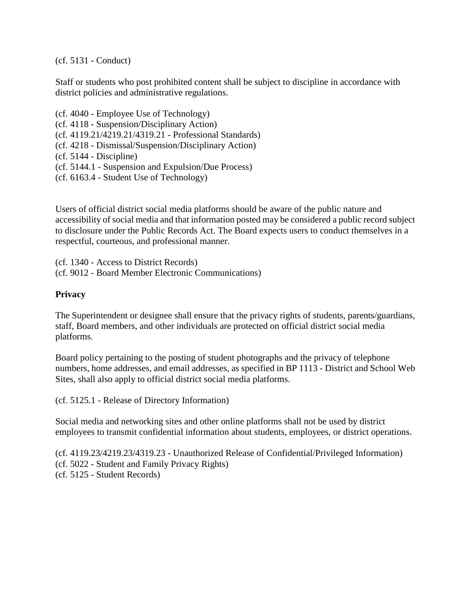(cf. 5131 - Conduct)

Staff or students who post prohibited content shall be subject to discipline in accordance with district policies and administrative regulations.

(cf. 4040 - Employee Use of Technology) (cf. 4118 - Suspension/Disciplinary Action) (cf. 4119.21/4219.21/4319.21 - Professional Standards) (cf. 4218 - Dismissal/Suspension/Disciplinary Action) (cf. 5144 - Discipline) (cf. 5144.1 - Suspension and Expulsion/Due Process) (cf. 6163.4 - Student Use of Technology)

Users of official district social media platforms should be aware of the public nature and accessibility of social media and that information posted may be considered a public record subject to disclosure under the Public Records Act. The Board expects users to conduct themselves in a respectful, courteous, and professional manner.

(cf. 1340 - Access to District Records) (cf. 9012 - Board Member Electronic Communications)

## **Privacy**

The Superintendent or designee shall ensure that the privacy rights of students, parents/guardians, staff, Board members, and other individuals are protected on official district social media platforms.

Board policy pertaining to the posting of student photographs and the privacy of telephone numbers, home addresses, and email addresses, as specified in BP 1113 - District and School Web Sites, shall also apply to official district social media platforms.

(cf. 5125.1 - Release of Directory Information)

Social media and networking sites and other online platforms shall not be used by district employees to transmit confidential information about students, employees, or district operations.

(cf. 4119.23/4219.23/4319.23 - Unauthorized Release of Confidential/Privileged Information) (cf. 5022 - Student and Family Privacy Rights) (cf. 5125 - Student Records)